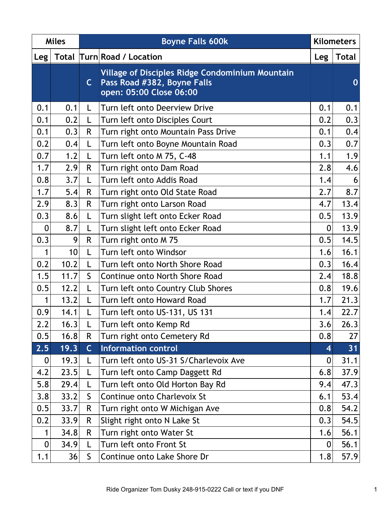| <b>Miles</b>     |      | <b>Boyne Falls 600k</b> |                                                                                                                  |     | <b>Kilometers</b> |
|------------------|------|-------------------------|------------------------------------------------------------------------------------------------------------------|-----|-------------------|
| <b>Leg</b>       |      |                         | <b>Total Turn Road / Location</b>                                                                                | Leg | <b>Total</b>      |
|                  |      | $\mathsf{C}$            | <b>Village of Disciples Ridge Condominium Mountain</b><br>Pass Road #382, Boyne Falls<br>open: 05:00 Close 06:00 |     | $\bf{0}$          |
| 0.1              | 0.1  | L                       | Turn left onto Deerview Drive                                                                                    | 0.1 | 0.1               |
| 0.1              | 0.2  | L                       | Turn left onto Disciples Court                                                                                   | 0.2 | 0.3               |
| 0.1              | 0.3  | R                       | Turn right onto Mountain Pass Drive                                                                              | 0.1 | 0.4               |
| 0.2              | 0.4  | L                       | Turn left onto Boyne Mountain Road                                                                               | 0.3 | 0.7               |
| 0.7              | 1.2  | L                       | Turn left onto M 75, C-48                                                                                        | 1.1 | 1.9               |
| 1.7              | 2.9  | R                       | Turn right onto Dam Road                                                                                         | 2.8 | 4.6               |
| 0.8              | 3.7  | L                       | Turn left onto Addis Road                                                                                        | 1.4 | 6                 |
| 1.7              | 5.4  | R                       | Turn right onto Old State Road                                                                                   | 2.7 | 8.7               |
| 2.9              | 8.3  | R                       | Turn right onto Larson Road                                                                                      | 4.7 | 13.4              |
| 0.3              | 8.6  | L                       | Turn slight left onto Ecker Road                                                                                 | 0.5 | 13.9              |
| $\boldsymbol{0}$ | 8.7  | L                       | Turn slight left onto Ecker Road                                                                                 |     | 13.9              |
| 0.3              | 9    | $\mathsf{R}$            | Turn right onto M 75                                                                                             | 0.5 | 14.5              |
| $\mathbf{1}$     | 10   | L                       | Turn left onto Windsor                                                                                           | 1.6 | 16.1              |
| 0.2              | 10.2 | L                       | Turn left onto North Shore Road                                                                                  | 0.3 | 16.4              |
| 1.5              | 11.7 | $\mathsf{S}$            | Continue onto North Shore Road                                                                                   | 2.4 | 18.8              |
| 0.5              | 12.2 | L                       | Turn left onto Country Club Shores                                                                               | 0.8 | 19.6              |
| 1                | 13.2 | L                       | Turn left onto Howard Road                                                                                       | 1.7 | 21.3              |
| 0.9              | 14.1 | L                       | Turn left onto US-131, US 131                                                                                    | 1.4 | 22.7              |
| 2.2              | 16.3 | L                       | Turn left onto Kemp Rd                                                                                           | 3.6 | 26.3              |
| 0.5              | 16.8 | R.                      | Turn right onto Cemetery Rd                                                                                      | 0.8 | 27                |
| 2.5              | 19.3 | $\mathsf{C}$            | <b>Information control</b>                                                                                       | 4   | 31                |
| $\boldsymbol{0}$ | 19.3 | L                       | Turn left onto US-31 S/Charlevoix Ave                                                                            | 0   | 31.1              |
| 4.2              | 23.5 | L                       | Turn left onto Camp Daggett Rd                                                                                   | 6.8 | 37.9              |
| 5.8              | 29.4 | L                       | Turn left onto Old Horton Bay Rd                                                                                 | 9.4 | 47.3              |
| 3.8              | 33.2 | S                       | Continue onto Charlevoix St                                                                                      | 6.1 | 53.4              |
| 0.5              | 33.7 | R.                      | Turn right onto W Michigan Ave                                                                                   | 0.8 | 54.2              |
| 0.2              | 33.9 | R.                      | Slight right onto N Lake St                                                                                      | 0.3 | 54.5              |
| $\mathbf{1}$     | 34.8 | R.                      | Turn right onto Water St                                                                                         | 1.6 | 56.1              |
| $\boldsymbol{0}$ | 34.9 | L                       | Turn left onto Front St                                                                                          | 0   | 56.1              |
| 1.1              | 36   | $\mathsf S$             | Continue onto Lake Shore Dr                                                                                      | 1.8 | 57.9              |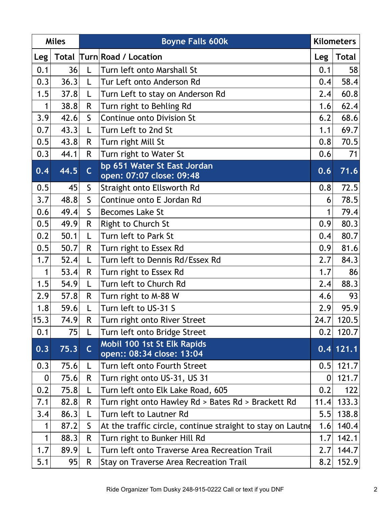| <b>Miles</b> |      |              | <b>Kilometers</b>                                          |              |              |
|--------------|------|--------------|------------------------------------------------------------|--------------|--------------|
| <b>Leg</b>   |      |              | <b>Total Turn Road / Location</b>                          | Leg          | <b>Total</b> |
| 0.1          | 36   | L            | Turn left onto Marshall St                                 | 0.1          | 58           |
| 0.3          | 36.3 | L            | Tur Left onto Anderson Rd                                  | 0.4          | 58.4         |
| 1.5          | 37.8 | L            | Turn Left to stay on Anderson Rd                           | 2.4          | 60.8         |
| $\mathbf{1}$ | 38.8 | R.           | Turn right to Behling Rd                                   | 1.6          | 62.4         |
| 3.9          | 42.6 | $\mathsf{S}$ | <b>Continue onto Division St</b><br>6.2                    |              | 68.6         |
| 0.7          | 43.3 | L            | Turn Left to 2nd St                                        | 1.1          | 69.7         |
| 0.5          | 43.8 | R.           | Turn right Mill St                                         | 0.8          | 70.5         |
| 0.3          | 44.1 | R.           | Turn right to Water St                                     | 0.6          | 71           |
| 0.4          | 44.5 | $\mathsf{C}$ | bp 651 Water St East Jordan<br>open: 07:07 close: 09:48    | 0.6          | 71.6         |
| 0.5          | 45   | S            | Straight onto Ellsworth Rd                                 | 0.8          | 72.5         |
| 3.7          | 48.8 | $\mathsf{S}$ | Continue onto E Jordan Rd                                  | 6            | 78.5         |
| 0.6          | 49.4 | $\mathsf{S}$ | <b>Becomes Lake St</b>                                     | 1            | 79.4         |
| 0.5          | 49.9 | R            | Right to Church St                                         | 0.9          | 80.3         |
| 0.2          | 50.1 | L            | Turn left to Park St                                       |              | 80.7         |
| 0.5          | 50.7 | R            | Turn right to Essex Rd                                     |              | 81.6         |
| 1.7          | 52.4 | L            | Turn left to Dennis Rd/Essex Rd                            | 2.7          | 84.3         |
| $\mathbf{1}$ | 53.4 | R.           | Turn right to Essex Rd                                     | 1.7          | 86           |
| 1.5          | 54.9 | L            | Turn left to Church Rd                                     | 2.4          | 88.3         |
| 2.9          | 57.8 | R.           | Turn right to M-88 W                                       | 4.6          | 93           |
| 1.8          | 59.6 | L            | Turn left to US-31 S                                       | 2.9          | 95.9         |
| 15.3         | 74.9 | $\mathsf{R}$ | Turn right onto River Street                               | 24.7         | 120.5        |
| 0.1          | 75   | L            | Turn left onto Bridge Street                               | 0.2          | 120.7        |
| 0.3          | 75.3 | C            | Mobil 100 1st St Elk Rapids<br>open:: 08:34 close: 13:04   |              | $0.4$ 121.1  |
| 0.3          | 75.6 | L            | Turn left onto Fourth Street                               | 0.5          | 121.7        |
| 0            | 75.6 | R.           | Turn right onto US-31, US 31                               | $\mathbf{0}$ | 121.7        |
| 0.2          | 75.8 | L            | Turn left onto Elk Lake Road, 605                          | 0.2          | 122          |
| 7.1          | 82.8 | R            | Turn right onto Hawley Rd > Bates Rd > Brackett Rd         | 11.4         | 133.3        |
| 3.4          | 86.3 | L            | Turn left to Lautner Rd                                    | 5.5          | 138.8        |
| 1            | 87.2 | $\mathsf S$  | At the traffic circle, continue straight to stay on Lautne | 1.6          | 140.4        |
| $\mathbf{1}$ | 88.3 | R.           | Turn right to Bunker Hill Rd                               | 1.7          | 142.1        |
| 1.7          | 89.9 |              | Turn left onto Traverse Area Recreation Trail              | 2.7          | 144.7        |
| 5.1          | 95   | R            | Stay on Traverse Area Recreation Trail                     | 8.2          | 152.9        |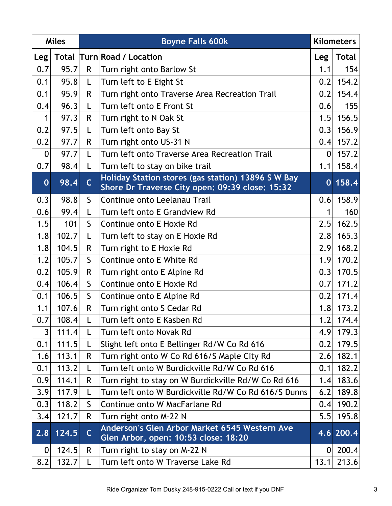| <b>Miles</b>     |       |              | <b>Kilometers</b>                                                                                     |      |              |
|------------------|-------|--------------|-------------------------------------------------------------------------------------------------------|------|--------------|
| <b>Leg</b>       |       |              | <b>Total Turn Road / Location</b>                                                                     | Leg  | <b>Total</b> |
| 0.7              | 95.7  | R            | Turn right onto Barlow St                                                                             | 1.1  | 154          |
| 0.1              | 95.8  | L            | Turn left to E Eight St                                                                               | 0.2  | 154.2        |
| 0.1              | 95.9  | R.           | Turn right onto Traverse Area Recreation Trail                                                        | 0.2  | 154.4        |
| 0.4              | 96.3  | L            | Turn left onto E Front St                                                                             | 0.6  | 155          |
| $\mathbf{1}$     | 97.3  | R            | 1.5<br>Turn right to N Oak St                                                                         |      | 156.5        |
| 0.2              | 97.5  | L            | Turn left onto Bay St                                                                                 | 0.3  | 156.9        |
| 0.2              | 97.7  | R.           | Turn right onto US-31 N                                                                               | 0.4  | 157.2        |
| $\boldsymbol{0}$ | 97.7  | L            | Turn left onto Traverse Area Recreation Trail                                                         | 0    | 157.2        |
| 0.7              | 98.4  | L            | Turn left to stay on bike trail                                                                       | 1.1  | 158.4        |
| $\mathbf 0$      | 98.4  | $\mathsf{C}$ | Holiday Station stores (gas station) 13896 S W Bay<br>Shore Dr Traverse City open: 09:39 close: 15:32 |      | 0158.4       |
| 0.3              | 98.8  | $\mathsf{S}$ | Continue onto Leelanau Trail                                                                          | 0.6  | 158.9        |
| 0.6              | 99.4  | L            | Turn left onto E Grandview Rd                                                                         | 1    | 160          |
| 1.5              | 101   | $\mathsf{S}$ | Continue onto E Hoxie Rd                                                                              | 2.5  | 162.5        |
| 1.8              | 102.7 | L            | Turn left to stay on E Hoxie Rd                                                                       |      | 165.3<br>2.8 |
| 1.8              | 104.5 | R.           | Turn right to E Hoxie Rd                                                                              |      | 168.2        |
| 1.2              | 105.7 | $\mathsf{S}$ | Continue onto E White Rd                                                                              |      | 170.2        |
| 0.2              | 105.9 | R            | Turn right onto E Alpine Rd                                                                           | 0.3  | 170.5        |
| 0.4              | 106.4 | $\mathsf S$  | Continue onto E Hoxie Rd                                                                              | 0.7  | 171.2        |
| 0.1              | 106.5 | $\mathsf{S}$ | Continue onto E Alpine Rd                                                                             | 0.2  | 171.4        |
| 1.1              | 107.6 | R.           | Turn right onto S Cedar Rd                                                                            | 1.8  | 173.2        |
| 0.7              | 108.4 |              | Turn left onto E Kasben Rd                                                                            | 1.2  | 174.4        |
| $\mathbf{3}$     | 111.4 | L            | Turn left onto Novak Rd                                                                               | 4.9  | 179.3        |
| 0.1              | 111.5 |              | Slight left onto E Bellinger Rd/W Co Rd 616                                                           | 0.2  | 179.5        |
| 1.6              | 113.1 | R            | Turn right onto W Co Rd 616/S Maple City Rd                                                           | 2.6  | 182.1        |
| 0.1              | 113.2 |              | Turn left onto W Burdickville Rd/W Co Rd 616                                                          | 0.1  | 182.2        |
| 0.9              | 114.1 | R.           | Turn right to stay on W Burdickville Rd/W Co Rd 616                                                   | 1.4  | 183.6        |
| 3.9              | 117.9 | L            | Turn left onto W Burdickville Rd/W Co Rd 616/S Dunns                                                  | 6.2  | 189.8        |
| 0.3              | 118.2 | S            | Continue onto W MacFarlane Rd                                                                         | 0.4  | 190.2        |
| 3.4              | 121.7 | R.           | Turn right onto M-22 N                                                                                | 5.5  | 195.8        |
| 2.8              | 124.5 | C            | Anderson's Glen Arbor Market 6545 Western Ave<br>Glen Arbor, open: 10:53 close: 18:20                 |      | 4.6 200.4    |
| $\boldsymbol{0}$ | 124.5 | R.           | Turn right to stay on M-22 N                                                                          | 0    | 200.4        |
| 8.2              | 132.7 | L            | Turn left onto W Traverse Lake Rd                                                                     | 13.1 | 213.6        |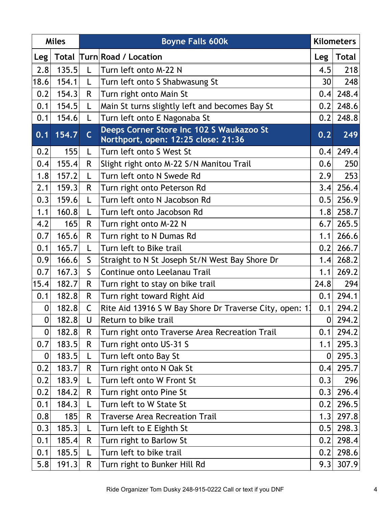| <b>Miles</b>     |       | <b>Boyne Falls 600k</b> |                                                                                 |                  | <b>Kilometers</b> |  |
|------------------|-------|-------------------------|---------------------------------------------------------------------------------|------------------|-------------------|--|
| Leg <sub>1</sub> |       |                         | <b>Total Turn Road / Location</b>                                               | Leg              | <b>Total</b>      |  |
| 2.8              | 135.5 | L                       | Turn left onto M-22 N                                                           | 4.5              | 218               |  |
| 18.6             | 154.1 | L.                      | Turn left onto S Shabwasung St                                                  | 30               | 248               |  |
| 0.2              | 154.3 | $\mathsf{R}$            | Turn right onto Main St                                                         | 0.4              | 248.4             |  |
| 0.1              | 154.5 | L                       | Main St turns slightly left and becomes Bay St                                  | 0.2              | 248.6             |  |
| 0.1              | 154.6 | L                       | Turn left onto E Nagonaba St                                                    | 0.2              | 248.8             |  |
| 0.1              | 154.7 | $\mathsf{C}$            | Deeps Corner Store Inc 102 S Waukazoo St<br>Northport, open: 12:25 close: 21:36 | 0.2              | 249               |  |
| 0.2              | 155   | L                       | Turn left onto S West St                                                        | 0.4              | 249.4             |  |
| 0.4              | 155.4 | $\mathsf{R}$            | Slight right onto M-22 S/N Manitou Trail                                        | 0.6              | 250               |  |
| 1.8              | 157.2 | L                       | Turn left onto N Swede Rd                                                       | 2.9              | 253               |  |
| 2.1              | 159.3 | $\mathsf{R}$            | Turn right onto Peterson Rd                                                     | 3.4              | 256.4             |  |
| 0.3              | 159.6 | L                       | Turn left onto N Jacobson Rd                                                    | 0.5              | 256.9             |  |
| 1.1              | 160.8 | L.                      | Turn left onto Jacobson Rd                                                      | 1.8              | 258.7             |  |
| 4.2              | 165   | $\mathsf{R}$            | Turn right onto M-22 N                                                          | 6.7              | 265.5             |  |
| 0.7              | 165.6 | R.                      | Turn right to N Dumas Rd                                                        | 1.1              | 266.6             |  |
| 0.1              | 165.7 | L                       | Turn left to Bike trail                                                         | 0.2              | 266.7             |  |
| 0.9              | 166.6 | $\mathsf{S}$            | Straight to N St Joseph St/N West Bay Shore Dr                                  | 1.4              | 268.2             |  |
| 0.7              | 167.3 | $\mathsf{S}$            | Continue onto Leelanau Trail                                                    | 1.1              | 269.2             |  |
| 15.4             | 182.7 | $\mathsf{R}$            | Turn right to stay on bike trail                                                | 24.8             | 294               |  |
| 0.1              | 182.8 | $\mathsf{R}$            | Turn right toward Right Aid                                                     | 0.1              | 294.1             |  |
| $\boldsymbol{0}$ | 182.8 | $\mathsf{C}$            | Rite Aid 13916 S W Bay Shore Dr Traverse City, open: 1                          | 0.1              | 294.2             |  |
| 0                | 182.8 | U                       | Return to bike trail                                                            | $\boldsymbol{0}$ | 294.2             |  |
| $\boldsymbol{0}$ | 182.8 | R                       | Turn right onto Traverse Area Recreation Trail                                  | 0.1              | 294.2             |  |
| 0.7              | 183.5 | R                       | Turn right onto US-31 S                                                         | 1.1              | 295.3             |  |
| $\boldsymbol{0}$ | 183.5 | L                       | Turn left onto Bay St                                                           | $\Omega$         | 295.3             |  |
| 0.2              | 183.7 | $\mathsf{R}$            | Turn right onto N Oak St                                                        | 0.4              | 295.7             |  |
| 0.2              | 183.9 | L                       | Turn left onto W Front St                                                       | 0.3              | 296               |  |
| 0.2              | 184.2 | R.                      | Turn right onto Pine St                                                         | 0.3              | 296.4             |  |
| 0.1              | 184.3 | L                       | Turn left to W State St                                                         | 0.2              | 296.5             |  |
| 0.8              | 185   | R                       | <b>Traverse Area Recreation Trail</b>                                           | 1.3              | 297.8             |  |
| 0.3              | 185.3 | L                       | Turn left to E Eighth St                                                        | 0.5              | 298.3             |  |
| 0.1              | 185.4 | $\mathsf{R}$            | Turn right to Barlow St                                                         | 0.2              | 298.4             |  |
| 0.1              | 185.5 | L                       | Turn left to bike trail                                                         | 0.2              | 298.6             |  |
| 5.8              | 191.3 | $\mathsf{R}$            | Turn right to Bunker Hill Rd                                                    | 9.3              | 307.9             |  |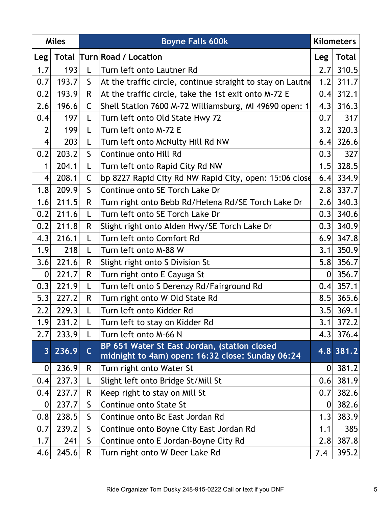|                  | <b>Miles</b> |              | <b>Boyne Falls 600k</b>                                                                          |            | <b>Kilometers</b> |
|------------------|--------------|--------------|--------------------------------------------------------------------------------------------------|------------|-------------------|
| <b>Leg</b>       |              |              | <b>Total Turn Road / Location</b>                                                                | <b>Leg</b> | <b>Total</b>      |
| 1.7              | 193          |              | Turn left onto Lautner Rd                                                                        | 2.7        | 310.5             |
| 0.7              | 193.7        | S            | At the traffic circle, continue straight to stay on Lautne                                       | 1.2        | 311.7             |
| 0.2              | 193.9        | $\mathsf{R}$ | At the traffic circle, take the 1st exit onto M-72 E                                             | 0.4        | 312.1             |
| 2.6              | 196.6        | C            | Shell Station 7600 M-72 Williamsburg, MI 49690 open: 1                                           | 4.3        | 316.3             |
| 0.4              | 197          |              | Turn left onto Old State Hwy 72                                                                  | 0.7        | 317               |
| 2                | 199          |              | Turn left onto M-72 E                                                                            | 3.2        | 320.3             |
| 4                | 203          |              | Turn left onto McNulty Hill Rd NW                                                                | 6.4        | 326.6             |
| 0.2              | 203.2        | S            | Continue onto Hill Rd                                                                            | 0.3        | 327               |
|                  | 204.1        |              | Turn left onto Rapid City Rd NW                                                                  | 1.5        | 328.5             |
|                  | 208.1        | $\mathsf C$  | bp 8227 Rapid City Rd NW Rapid City, open: 15:06 close                                           | 6.4        | 334.9             |
| 1.8              | 209.9        | S            | Continue onto SE Torch Lake Dr                                                                   | 2.8        | 337.7             |
| 1.6              | 211.5        | R            | Turn right onto Bebb Rd/Helena Rd/SE Torch Lake Dr                                               | 2.6        | 340.3             |
| 0.2              | 211.6        |              | Turn left onto SE Torch Lake Dr                                                                  | 0.3        | 340.6             |
| 0.2              | 211.8        | R            | Slight right onto Alden Hwy/SE Torch Lake Dr                                                     | 0.3        | 340.9             |
| 4.3              | 216.1        |              | Turn left onto Comfort Rd                                                                        | 6.9        | 347.8             |
| 1.9              | 218          |              | Turn left onto M-88 W                                                                            | 3.1        | 350.9             |
| 3.6              | 221.6        | R            | Slight right onto S Division St                                                                  | 5.8        | 356.7             |
| $\boldsymbol{0}$ | 221.7        | $\mathsf{R}$ | Turn right onto E Cayuga St                                                                      | $\Omega$   | 356.7             |
| 0.3              | 221.9        |              | Turn left onto S Derenzy Rd/Fairground Rd                                                        | 0.4        | 357.1             |
| 5.3              | 227.2        | $\mathsf{R}$ | Turn right onto W Old State Rd                                                                   | 8.5        | 365.6             |
| 2.2              | 229.3        |              | Turn left onto Kidder Rd                                                                         | 3.5        | 369.1             |
| 1.9              | 231.2        | $\mathsf{L}$ | Turn left to stay on Kidder Rd                                                                   | 3.1        | 372.2             |
| 2.7              | 233.9        |              | Turn left onto M-66 N                                                                            | 4.3        | 376.4             |
| 3 <sup>1</sup>   | 236.9        | $\mathsf{C}$ | BP 651 Water St East Jordan, (station closed<br>midnight to 4am) open: 16:32 close: Sunday 06:24 |            | 4.8 381.2         |
| 0                | 236.9        | $\mathsf{R}$ | Turn right onto Water St                                                                         | $\Omega$   | 381.2             |
| 0.4              | 237.3        |              | Slight left onto Bridge St/Mill St                                                               | 0.6        | 381.9             |
| 0.4              | 237.7        | $\mathsf{R}$ | Keep right to stay on Mill St                                                                    | 0.7        | 382.6             |
| $\boldsymbol{0}$ | 237.7        | $\mathsf{S}$ | Continue onto State St                                                                           | $\Omega$   | 382.6             |
| 0.8              | 238.5        | S            | Continue onto Bc East Jordan Rd                                                                  | 1.3        | 383.9             |
| 0.7              | 239.2        | S            | Continue onto Boyne City East Jordan Rd                                                          | 1.1        | 385               |
| 1.7              | 241          | S            | Continue onto E Jordan-Boyne City Rd                                                             | 2.8        | 387.8             |
| 4.6              | 245.6        | $\mathsf{R}$ | Turn right onto W Deer Lake Rd                                                                   | 7.4        | 395.2             |
|                  |              |              |                                                                                                  |            |                   |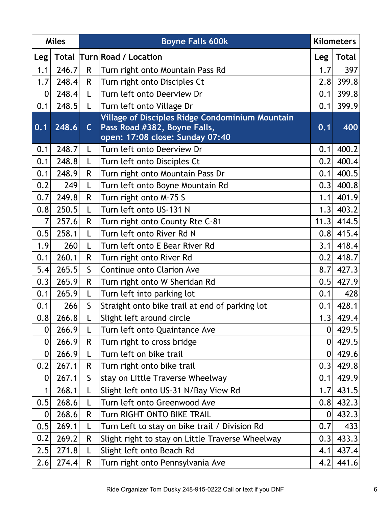| <b>Miles</b>     |              |              | <b>Kilometers</b>                                                                                                         |      |              |
|------------------|--------------|--------------|---------------------------------------------------------------------------------------------------------------------------|------|--------------|
| <b>Leg</b>       | <b>Total</b> |              | Turn Road / Location                                                                                                      | Leg  | <b>Total</b> |
| 1.1              | 246.7        | R            | Turn right onto Mountain Pass Rd                                                                                          | 1.7  | 397          |
| 1.7              | 248.4        | R            | Turn right onto Disciples Ct                                                                                              | 2.8  | 399.8        |
| $\boldsymbol{0}$ | 248.4        | L            | Turn left onto Deerview Dr                                                                                                | 0.1  | 399.8        |
| 0.1              | 248.5        | L            | Turn left onto Village Dr                                                                                                 | 0.1  | 399.9        |
| 0.1              | 248.6        | $\mathsf{C}$ | <b>Village of Disciples Ridge Condominium Mountain</b><br>Pass Road #382, Boyne Falls,<br>open: 17:08 close: Sunday 07:40 | 0.1  | 400          |
| 0.1              | 248.7        | L            | Turn left onto Deerview Dr                                                                                                | 0.1  | 400.2        |
| 0.1              | 248.8        | L            | Turn left onto Disciples Ct                                                                                               | 0.2  | 400.4        |
| 0.1              | 248.9        | R.           | Turn right onto Mountain Pass Dr                                                                                          | 0.1  | 400.5        |
| 0.2              | 249          | L            | Turn left onto Boyne Mountain Rd                                                                                          | 0.3  | 400.8        |
| 0.7              | 249.8        | R            | Turn right onto M-75 S                                                                                                    | 1.1  | 401.9        |
| 0.8              | 250.5        | L            | Turn left onto US-131 N                                                                                                   | 1.3  | 403.2        |
| 7                | 257.6        | R            | Turn right onto County Rte C-81                                                                                           | 11.3 | 414.5        |
| 0.5              | 258.1        | L            | Turn left onto River Rd N                                                                                                 | 0.8  | 415.4        |
| 1.9              | 260          | L            | Turn left onto E Bear River Rd                                                                                            | 3.1  | 418.4        |
| 0.1              | 260.1        | R.           | Turn right onto River Rd                                                                                                  | 0.2  | 418.7        |
| 5.4              | 265.5        | $\mathsf{S}$ | <b>Continue onto Clarion Ave</b>                                                                                          | 8.7  | 427.3        |
| 0.3              | 265.9        | R            | Turn right onto W Sheridan Rd                                                                                             | 0.5  | 427.9        |
| 0.1              | 265.9        | L            | Turn left into parking lot                                                                                                | 0.1  | 428          |
| 0.1              | 266          | $\mathsf{S}$ | Straight onto bike trail at end of parking lot                                                                            | 0.1  | 428.1        |
| 0.8              | 266.8        |              | Slight left around circle                                                                                                 | 1.3  | 429.4        |
| 0                | 266.9        | L            | Turn left onto Quaintance Ave                                                                                             | 0    | 429.5        |
| 0                | 266.9        | R.           | Turn right to cross bridge                                                                                                | 01   | 429.5        |
| 0                | 266.9        | L            | Turn left on bike trail                                                                                                   | 0    | 429.6        |
| 0.2              | 267.1        | R.           | Turn right onto bike trail                                                                                                | 0.3  | 429.8        |
| 0                | 267.1        | $\mathsf{S}$ | stay on Little Traverse Wheelway                                                                                          | 0.1  | 429.9        |
| $\mathbf{1}$     | 268.1        |              | Slight left onto US-31 N/Bay View Rd                                                                                      | 1.7  | 431.5        |
| 0.5              | 268.6        | L            | Turn left onto Greenwood Ave                                                                                              | 0.8  | 432.3        |
| 0                | 268.6        | R.           | Turn RIGHT ONTO BIKE TRAIL                                                                                                | 0    | 432.3        |
| 0.5              | 269.1        | L            | Turn Left to stay on bike trail / Division Rd                                                                             | 0.7  | 433          |
| 0.2              | 269.2        | R            | Slight right to stay on Little Traverse Wheelway                                                                          | 0.3  | 433.3        |
| 2.5              | 271.8        | L            | Slight left onto Beach Rd                                                                                                 | 4.1  | 437.4        |
| 2.6              | 274.4        | R.           | Turn right onto Pennsylvania Ave                                                                                          | 4.2  | 441.6        |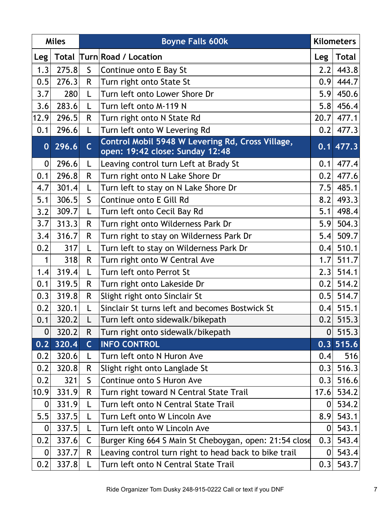| <b>Miles</b>     |              | <b>Boyne Falls 600k</b> |                                                                                     |                  | <b>Kilometers</b> |
|------------------|--------------|-------------------------|-------------------------------------------------------------------------------------|------------------|-------------------|
| Leg              | <b>Total</b> |                         | Turn Road / Location                                                                | Leg              | <b>Total</b>      |
| 1.3              | 275.8        | $\mathsf{S}$            | Continue onto E Bay St                                                              | 2.2              | 443.8             |
| 0.5              | 276.3        | R.                      | Turn right onto State St                                                            | 0.9 <sub>l</sub> | 444.7             |
| 3.7              | 280          | L                       | Turn left onto Lower Shore Dr                                                       | 5.9              | 450.6             |
| 3.6              | 283.6        | L                       | Turn left onto M-119 N                                                              | 5.8              | 456.4             |
| 12.9             | 296.5        | R.                      | Turn right onto N State Rd                                                          | 20.7             | 477.1             |
| 0.1              | 296.6        | L                       | Turn left onto W Levering Rd                                                        | 0.2              | 477.3             |
| $\bf{0}$         | 296.6        | $\mathsf{C}$            | Control Mobil 5948 W Levering Rd, Cross Village,<br>open: 19:42 close: Sunday 12:48 |                  | 0.1 477.3         |
| $\overline{0}$   | 296.6        | L                       | Leaving control turn Left at Brady St                                               | 0.1              | 477.4             |
| 0.1              | 296.8        | R                       | Turn right onto N Lake Shore Dr                                                     | 0.2              | 477.6             |
| 4.7              | 301.4        | L                       | Turn left to stay on N Lake Shore Dr                                                | 7.5              | 485.1             |
| 5.1              | 306.5        | $\mathsf{S}$            | Continue onto E Gill Rd                                                             | 8.2              | 493.3             |
| 3.2              | 309.7        | L.                      | Turn left onto Cecil Bay Rd                                                         | 5.1              | 498.4             |
| 3.7              | 313.3        | R.                      | Turn right onto Wilderness Park Dr                                                  | 5.9              | 504.3             |
| 3.4              | 316.7        | R                       | Turn right to stay on Wilderness Park Dr                                            |                  | 509.7             |
| 0.2              | 317          | L                       | Turn left to stay on Wilderness Park Dr                                             |                  | 510.1             |
| 1                | 318          | R                       | Turn right onto W Central Ave                                                       | 1.7              | 511.7             |
| 1.4              | 319.4        | L                       | Turn left onto Perrot St                                                            | 2.3              | 514.1             |
| 0.1              | 319.5        | R.                      | Turn right onto Lakeside Dr                                                         | 0.2              | 514.2             |
| 0.3              | 319.8        | R.                      | Slight right onto Sinclair St                                                       | 0.5              | 514.7             |
| 0.2              | 320.1        | L                       | Sinclair St turns left and becomes Bostwick St                                      | 0.4              | 515.1             |
| 0.1              | 320.2        |                         | Turn left onto sidewalk/bikepath                                                    |                  | $0.2$ 515.3       |
| 0                | 320.2        | $\mathsf{R}$            | Turn right onto sidewalk/bikepath                                                   | 0                | 515.3             |
| 0.2              | 320.4        | $\mathsf{C}$            | <b>INFO CONTROL</b>                                                                 |                  | $0.3$ 515.6       |
| 0.2              | 320.6        | L                       | Turn left onto N Huron Ave                                                          | 0.4              | 516               |
| 0.2              | 320.8        | R                       | Slight right onto Langlade St                                                       | 0.3              | 516.3             |
| 0.2              | 321          | $\mathsf{S}$            | Continue onto S Huron Ave                                                           | 0.3              | 516.6             |
| 10.9             | 331.9        | R.                      | Turn right toward N Central State Trail                                             | 17.6             | 534.2             |
| $\boldsymbol{0}$ | 331.9        | L                       | Turn left onto N Central State Trail                                                | 0                | 534.2             |
| 5.5              | 337.5        | L                       | Turn Left onto W Lincoln Ave                                                        |                  | 543.1<br>8.9      |
| $\boldsymbol{0}$ | 337.5        |                         | Turn left onto W Lincoln Ave                                                        |                  | 543.1             |
| 0.2              | 337.6        | C                       | Burger King 664 S Main St Cheboygan, open: 21:54 close                              | 0.3              | 543.4             |
| 0                | 337.7        | R.                      | Leaving control turn right to head back to bike trail                               | 0                | 543.4             |
| 0.2              | 337.8        | L                       | Turn left onto N Central State Trail                                                | 0.3              | 543.7             |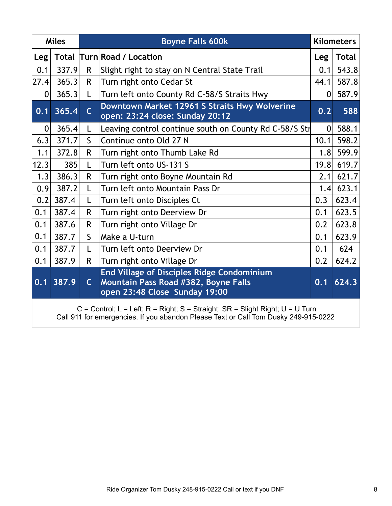| <b>Miles</b>     |       | <b>Boyne Falls 600k</b> |                                                                                                                            |      | <b>Kilometers</b> |
|------------------|-------|-------------------------|----------------------------------------------------------------------------------------------------------------------------|------|-------------------|
| <b>Leg</b>       |       |                         | <b>Total Turn Road / Location</b>                                                                                          | Leg  | <b>Total</b>      |
| 0.1              | 337.9 | R.                      | Slight right to stay on N Central State Trail                                                                              | 0.1  | 543.8             |
| 27.4             | 365.3 | R.                      | Turn right onto Cedar St                                                                                                   | 44.1 | 587.8             |
| 0                | 365.3 | L                       | Turn left onto County Rd C-58/S Straits Hwy                                                                                | 0    | 587.9             |
| 0.1              | 365.4 | $\overline{C}$          | Downtown Market 12961 S Straits Hwy Wolverine<br>open: 23:24 close: Sunday 20:12                                           | 0.2  | 588               |
| $\overline{0}$   | 365.4 | L                       | Leaving control continue south on County Rd C-58/S Str                                                                     |      | 588.1             |
| 6.3              | 371.7 | $\mathsf{S}$            | Continue onto Old 27 N                                                                                                     |      | 598.2             |
| 1.1              | 372.8 | R.                      | Turn right onto Thumb Lake Rd                                                                                              |      | 599.9<br>1.8      |
| 12.3             | 385   | L                       | Turn left onto US-131 S                                                                                                    |      | 619.7<br>19.8     |
| 1.3              | 386.3 | R.                      | Turn right onto Boyne Mountain Rd                                                                                          |      | 621.7             |
| 0.9              | 387.2 | L                       | Turn left onto Mountain Pass Dr                                                                                            | 1.4  | 623.1             |
| 0.2              | 387.4 | L                       | Turn left onto Disciples Ct                                                                                                | 0.3  | 623.4             |
| 0.1              | 387.4 | R.                      | Turn right onto Deerview Dr                                                                                                | 0.1  | 623.5             |
| 0.1              | 387.6 | R.                      | Turn right onto Village Dr                                                                                                 | 0.2  | 623.8             |
| 0.1              | 387.7 | $\mathsf{S}$            | Make a U-turn                                                                                                              | 0.1  | 623.9             |
| 0.1              | 387.7 | L                       | Turn left onto Deerview Dr<br>0.1                                                                                          |      | 624               |
| 0.1              | 387.9 | R.                      | Turn right onto Village Dr                                                                                                 |      | 624.2             |
| $\overline{0.1}$ | 387.9 | $\mathsf{C}$            | <b>End Village of Disciples Ridge Condominium</b><br>Mountain Pass Road #382, Boyne Falls<br>open 23:48 Close Sunday 19:00 | 0.1  | 624.3             |

 C = Control; L = Left; R = Right; S = Straight; SR = Slight Right; U = U Turn Call 911 for emergencies. If you abandon Please Text or Call Tom Dusky 249-915-0222